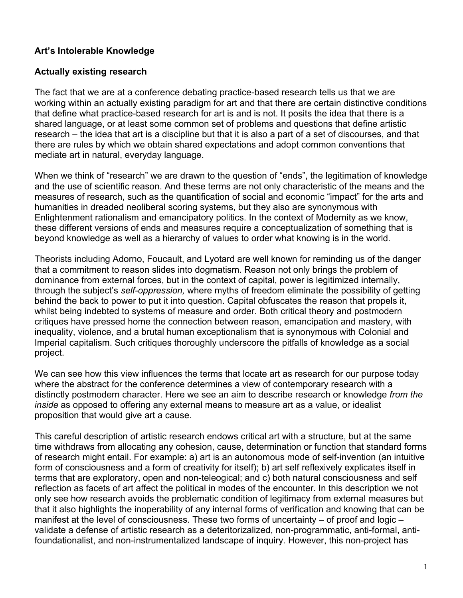### **Art's Intolerable Knowledge**

#### **Actually existing research**

The fact that we are at a conference debating practice-based research tells us that we are working within an actually existing paradigm for art and that there are certain distinctive conditions that define what practice-based research for art is and is not. It posits the idea that there is a shared language, or at least some common set of problems and questions that define artistic research – the idea that art is a discipline but that it is also a part of a set of discourses, and that there are rules by which we obtain shared expectations and adopt common conventions that mediate art in natural, everyday language.

When we think of "research" we are drawn to the question of "ends", the legitimation of knowledge and the use of scientific reason. And these terms are not only characteristic of the means and the measures of research, such as the quantification of social and economic "impact" for the arts and humanities in dreaded neoliberal scoring systems, but they also are synonymous with Enlightenment rationalism and emancipatory politics. In the context of Modernity as we know, these different versions of ends and measures require a conceptualization of something that is beyond knowledge as well as a hierarchy of values to order what knowing is in the world.

Theorists including Adorno, Foucault, and Lyotard are well known for reminding us of the danger that a commitment to reason slides into dogmatism. Reason not only brings the problem of dominance from external forces, but in the context of capital, power is legitimized internally, through the subject's *self-oppression,* where myths of freedom eliminate the possibility of getting behind the back to power to put it into question. Capital obfuscates the reason that propels it, whilst being indebted to systems of measure and order. Both critical theory and postmodern critiques have pressed home the connection between reason, emancipation and mastery, with inequality, violence, and a brutal human exceptionalism that is synonymous with Colonial and Imperial capitalism. Such critiques thoroughly underscore the pitfalls of knowledge as a social project.

We can see how this view influences the terms that locate art as research for our purpose today where the abstract for the conference determines a view of contemporary research with a distinctly postmodern character. Here we see an aim to describe research or knowledge *from the inside* as opposed to offering any external means to measure art as a value, or idealist proposition that would give art a cause.

This careful description of artistic research endows critical art with a structure, but at the same time withdraws from allocating any cohesion, cause, determination or function that standard forms of research might entail. For example: a) art is an autonomous mode of self-invention (an intuitive form of consciousness and a form of creativity for itself); b) art self reflexively explicates itself in terms that are exploratory, open and non-teleogical; and c) both natural consciousness and self reflection as facets of art affect the political in modes of the encounter. In this description we not only see how research avoids the problematic condition of legitimacy from external measures but that it also highlights the inoperability of any internal forms of verification and knowing that can be manifest at the level of consciousness. These two forms of uncertainty – of proof and logic – validate a defense of artistic research as a deteritorizalized, non-programmatic, anti-formal, antifoundationalist, and non-instrumentalized landscape of inquiry. However, this non-project has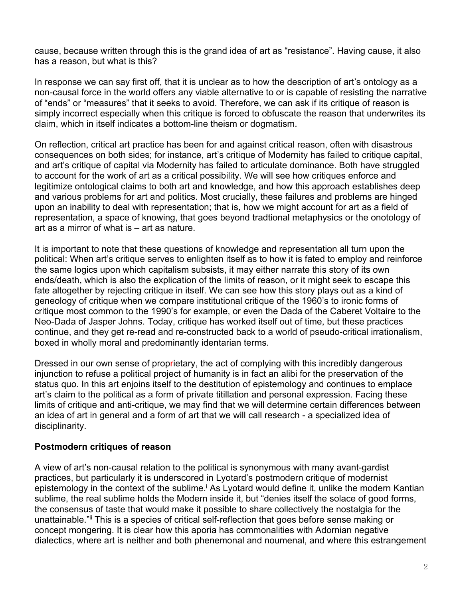cause, because written through this is the grand idea of art as "resistance". Having cause, it also has a reason, but what is this?

In response we can say first off, that it is unclear as to how the description of art's ontology as a non-causal force in the world offers any viable alternative to or is capable of resisting the narrative of "ends" or "measures" that it seeks to avoid. Therefore, we can ask if its critique of reason is simply incorrect especially when this critique is forced to obfuscate the reason that underwrites its claim, which in itself indicates a bottom-line theism or dogmatism.

On reflection, critical art practice has been for and against critical reason, often with disastrous consequences on both sides; for instance, art's critique of Modernity has failed to critique capital, and art's critique of capital via Modernity has failed to articulate dominance. Both have struggled to account for the work of art as a critical possibility. We will see how critiques enforce and legitimize ontological claims to both art and knowledge, and how this approach establishes deep and various problems for art and politics. Most crucially, these failures and problems are hinged upon an inability to deal with representation; that is, how we might account for art as a field of representation, a space of knowing, that goes beyond tradtional metaphysics or the onotology of art as a mirror of what is – art as nature.

It is important to note that these questions of knowledge and representation all turn upon the political: When art's critique serves to enlighten itself as to how it is fated to employ and reinforce the same logics upon which capitalism subsists, it may either narrate this story of its own ends/death, which is also the explication of the limits of reason, or it might seek to escape this fate altogether by rejecting critique in itself. We can see how this story plays out as a kind of geneology of critique when we compare institutional critique of the 1960's to ironic forms of critique most common to the 1990's for example, or even the Dada of the Caberet Voltaire to the Neo-Dada of Jasper Johns. Today, critique has worked itself out of time, but these practices continue, and they get re-read and re-constructed back to a world of pseudo-critical irrationalism, boxed in wholly moral and predominantly identarian terms.

Dressed in our own sense of proprietary, the act of complying with this incredibly dangerous injunction to refuse a political project of humanity is in fact an alibi for the preservation of the status quo. In this art enjoins itself to the destitution of epistemology and continues to emplace art's claim to the political as a form of private titillation and personal expression. Facing these limits of critique and anti-critique, we may find that we will determine certain differences between an idea of art in general and a form of art that we will call research - a specialized idea of disciplinarity.

#### **Postmodern critiques of reason**

A view of art's non-causal relation to the political is synonymous with many avant-gardist practices, but particularly it is underscored in Lyotard's postmodern critique of modernist epistemology in the context of the sublime.<sup>i</sup> As Lyotard would define it, unlike the modern Kantian sublime, the real sublime holds the Modern inside it, but "denies itself the solace of good forms, the consensus of taste that would make it possible to share collectively the nostalgia for the unattainable."ii This is a species of critical self-reflection that goes before sense making or concept mongering. It is clear how this aporia has commonalities with Adornian negative dialectics, where art is neither and both phenemonal and noumenal, and where this estrangement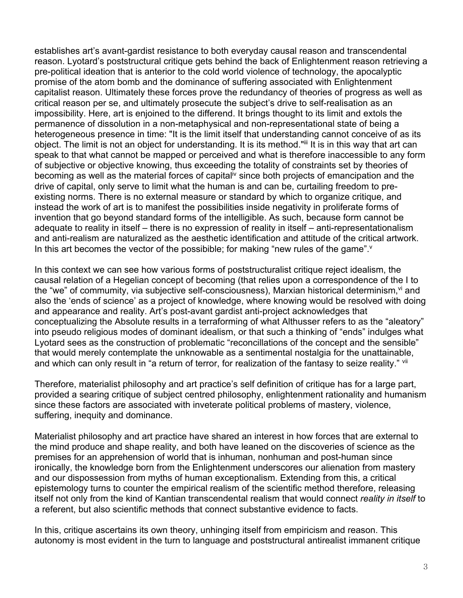establishes art's avant-gardist resistance to both everyday causal reason and transcendental reason. Lyotard's poststructural critique gets behind the back of Enlightenment reason retrieving a pre-political ideation that is anterior to the cold world violence of technology, the apocalyptic promise of the atom bomb and the dominance of suffering associated with Enlightenment capitalist reason. Ultimately these forces prove the redundancy of theories of progress as well as critical reason per se, and ultimately prosecute the subject's drive to self-realisation as an impossibility. Here, art is enjoined to the differend. It brings thought to its limit and extols the permanence of dissolution in a non-metaphysical and non-representational state of being a heterogeneous presence in time: "It is the limit itself that understanding cannot conceive of as its object. The limit is not an object for understanding. It is its method."iii It is in this way that art can speak to that what cannot be mapped or perceived and what is therefore inaccessible to any form of subjective or objective knowing, thus exceeding the totality of constraints set by theories of becoming as well as the material forces of capital<sup>iv</sup> since both projects of emancipation and the drive of capital, only serve to limit what the human is and can be, curtailing freedom to preexisting norms. There is no external measure or standard by which to organize critique, and instead the work of art is to manifest the possibilities inside negativity in proliferate forms of invention that go beyond standard forms of the intelligible. As such, because form cannot be adequate to reality in itself – there is no expression of reality in itself – anti-representationalism and anti-realism are naturalized as the aesthetic identification and attitude of the critical artwork. In this art becomes the vector of the possibible; for making "new rules of the game".

In this context we can see how various forms of poststructuralist critique reject idealism, the causal relation of a Hegelian concept of becoming (that relies upon a correspondence of the I to the "we" of commumity, via subjective self-consciousness), Marxian historical determinism, vi and also the 'ends of science' as a project of knowledge, where knowing would be resolved with doing and appearance and reality. Art's post-avant gardist anti-project acknowledges that conceptualizing the Absolute results in a terraforming of what Althusser refers to as the "aleatory" into pseudo religious modes of dominant idealism, or that such a thinking of "ends" indulges what Lyotard sees as the construction of problematic "reconcillations of the concept and the sensible" that would merely contemplate the unknowable as a sentimental nostalgia for the unattainable, and which can only result in "a return of terror, for realization of the fantasy to seize reality." vii

Therefore, materialist philosophy and art practice's self definition of critique has for a large part, provided a searing critique of subject centred philosophy, enlightenment rationality and humanism since these factors are associated with inveterate political problems of mastery, violence, suffering, inequity and dominance.

Materialist philosophy and art practice have shared an interest in how forces that are external to the mind produce and shape reality, and both have leaned on the discoveries of science as the premises for an apprehension of world that is inhuman, nonhuman and post-human since ironically, the knowledge born from the Enlightenment underscores our alienation from mastery and our dispossession from myths of human exceptionalism. Extending from this, a critical epistemology turns to counter the empirical realism of the scientific method therefore, releasing itself not only from the kind of Kantian transcendental realism that would connect *reality in itself* to a referent, but also scientific methods that connect substantive evidence to facts.

In this, critique ascertains its own theory, unhinging itself from empiricism and reason. This autonomy is most evident in the turn to language and poststructural antirealist immanent critique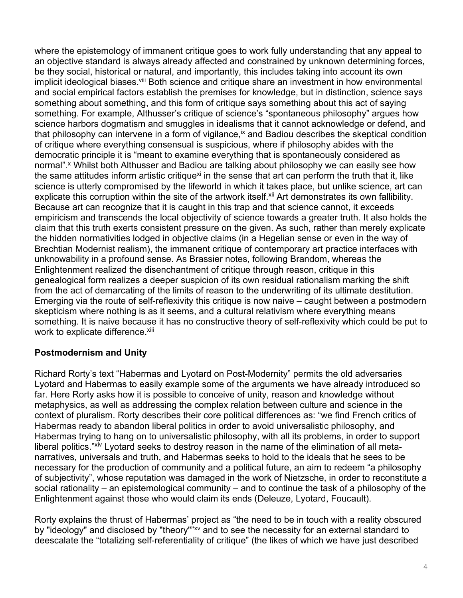where the epistemology of immanent critique goes to work fully understanding that any appeal to an objective standard is always already affected and constrained by unknown determining forces, be they social, historical or natural, and importantly, this includes taking into account its own implicit ideological biases. Vill Both science and critique share an investment in how environmental and social empirical factors establish the premises for knowledge, but in distinction, science says something about something, and this form of critique says something about this act of saying something. For example, Althusser's critique of science's "spontaneous philosophy" argues how science harbors dogmatism and smuggles in idealisms that it cannot acknowledge or defend, and that philosophy can intervene in a form of vigilance, ix and Badiou describes the skeptical condition of critique where everything consensual is suspicious, where if philosophy abides with the democratic principle it is "meant to examine everything that is spontaneously considered as normal".<sup>x</sup> Whilst both Althusser and Badiou are talking about philosophy we can easily see how the same attitudes inform artistic critique<sup>xi</sup> in the sense that art can perform the truth that it, like science is utterly compromised by the lifeworld in which it takes place, but unlike science, art can explicate this corruption within the site of the artwork itself.<sup>xii</sup> Art demonstrates its own fallibility. Because art can recognize that it is caught in this trap and that science cannot, it exceeds empiricism and transcends the local objectivity of science towards a greater truth. It also holds the claim that this truth exerts consistent pressure on the given. As such, rather than merely explicate the hidden normativities lodged in objective claims (in a Hegelian sense or even in the way of Brechtian Modernist realism), the immanent critique of contemporary art practice interfaces with unknowability in a profound sense. As Brassier notes, following Brandom, whereas the Enlightenment realized the disenchantment of critique through reason, critique in this genealogical form realizes a deeper suspicion of its own residual rationalism marking the shift from the act of demarcating of the limits of reason to the underwriting of its ultimate destitution. Emerging via the route of self-reflexivity this critique is now naive – caught between a postmodern skepticism where nothing is as it seems, and a cultural relativism where everything means something. It is naive because it has no constructive theory of self-reflexivity which could be put to work to explicate difference.xiii

# **Postmodernism and Unity**

Richard Rorty's text "Habermas and Lyotard on Post-Modernity" permits the old adversaries Lyotard and Habermas to easily example some of the arguments we have already introduced so far. Here Rorty asks how it is possible to conceive of unity, reason and knowledge without metaphysics, as well as addressing the complex relation between culture and science in the context of pluralism. Rorty describes their core political differences as: "we find French critics of Habermas ready to abandon liberal politics in order to avoid universalistic philosophy, and Habermas trying to hang on to universalistic philosophy, with all its problems, in order to support liberal politics."<sup>xiv</sup> Lyotard seeks to destroy reason in the name of the elimination of all metanarratives, universals and truth, and Habermas seeks to hold to the ideals that he sees to be necessary for the production of community and a political future, an aim to redeem "a philosophy of subjectivity", whose reputation was damaged in the work of Nietzsche, in order to reconstitute a social rationality – an epistemological community – and to continue the task of a philosophy of the Enlightenment against those who would claim its ends (Deleuze, Lyotard, Foucault).

Rorty explains the thrust of Habermas' project as "the need to be in touch with a reality obscured by "ideology" and disclosed by "theory"<sup>"xv</sup> and to see the necessity for an external standard to deescalate the "totalizing self-referentiality of critique" (the likes of which we have just described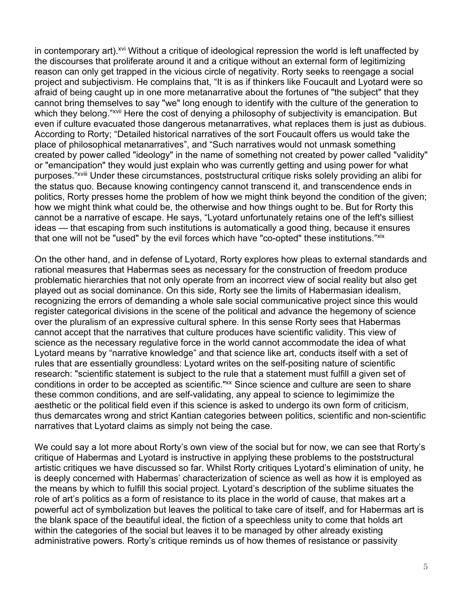in contemporary art).<sup>xvi</sup> Without a critique of ideological repression the world is left unaffected by the discourses that proliferate around it and a critique without an external form of legitimizing reason can only get trapped in the vicious circle of negativity. Rorty seeks to reengage a social project and subjectivism. He complains that, "It is as if thinkers like Foucault and Lyotard were so afraid of being caught up in one more metanarrative about the fortunes of "the subject" that they cannot bring themselves to say "we" long enough to identify with the culture of the generation to which they belong."xvii Here the cost of denying a philosophy of subjectivity is emancipation. But even if culture evacuated those dangerous metanarratives, what replaces them is just as dubious. According to Rorty; "Detailed historical narratives of the sort Foucault offers us would take the place of philosophical metanarratives", and "Such narratives would not unmask something created by power called "ideology" in the name of something not created by power called "validity" or "emancipation" they would just explain who was currently getting and using power for what purposes."xviii Under these circumstances, poststructural critique risks solely providing an alibi for the status quo. Because knowing contingency cannot transcend it, and transcendence ends in politics, Rorty presses home the problem of how we might think beyond the condition of the given; how we might think what could be, the otherwise and how things ought to be. But for Rorty this cannot be a narrative of escape. He says, "Lyotard unfortunately retains one of the left's silliest ideas — that escaping from such institutions is automatically a good thing, because it ensures that one will not be "used" by the evil forces which have "co-opted" these institutions." xix

On the other hand, and in defense of Lyotard, Rorty explores how pleas to external standards and rational measures that Habermas sees as necessary for the construction of freedom produce problematic hierarchies that not only operate from an incorrect view of social reality but also get played out as social dominance. On this side, Rorty see the limits of Habermasian idealism, recognizing the errors of demanding a whole sale social communicative project since this would register categorical divisions in the scene of the political and advance the hegemony of science over the pluralism of an expressive cultural sphere. In this sense Rorty sees that Habermas cannot accept that the narratives that culture produces have scientific validity. This view of science as the necessary regulative force in the world cannot accommodate the idea of what Lyotard means by "narrative knowledge" and that science like art, conducts itself with a set of rules that are essentially groundless: Lyotard writes on the self-positing nature of scientific research: "scientific statement is subject to the rule that a statement must fulfill a given set of conditions in order to be accepted as scientific."<sup>xx</sup> Since science and culture are seen to share these common conditions, and are self-validating, any appeal to science to legimimize the aesthetic or the political field even if this science is asked to undergo its own form of criticism, thus demarcates wrong and strict Kantian categories between politics, scientific and non-scientific narratives that Lyotard claims as simply not being the case.

We could say a lot more about Rorty's own view of the social but for now, we can see that Rorty's critique of Habermas and Lyotard is instructive in applying these problems to the poststructural artistic critiques we have discussed so far. Whilst Rorty critiques Lyotard's elimination of unity, he is deeply concerned with Habermas' characterization of science as well as how it is employed as the means by which to fulfill this social project. Lyotard's description of the sublime situates the role of art's politics as a form of resistance to its place in the world of cause, that makes art a powerful act of symbolization but leaves the political to take care of itself, and for Habermas art is the blank space of the beautiful ideal, the fiction of a speechless unity to come that holds art within the categories of the social but leaves it to be managed by other already existing administrative powers. Rorty's critique reminds us of how themes of resistance or passivity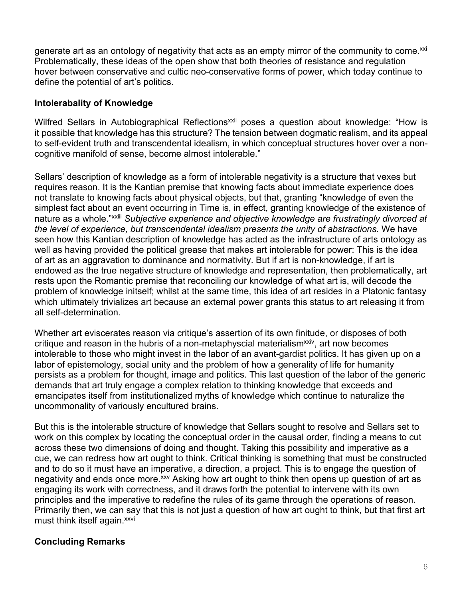generate art as an ontology of negativity that acts as an empty mirror of the community to come.<sup>xxi</sup> Problematically, these ideas of the open show that both theories of resistance and regulation hover between conservative and cultic neo-conservative forms of power, which today continue to define the potential of art's politics.

#### **Intolerabality of Knowledge**

Wilfred Sellars in Autobiographical Reflections<sup>xxii</sup> poses a question about knowledge: "How is it possible that knowledge has this structure? The tension between dogmatic realism, and its appeal to self-evident truth and transcendental idealism, in which conceptual structures hover over a noncognitive manifold of sense, become almost intolerable."

Sellars' description of knowledge as a form of intolerable negativity is a structure that vexes but requires reason. It is the Kantian premise that knowing facts about immediate experience does not translate to knowing facts about physical objects, but that, granting "knowledge of even the simplest fact about an event occurring in Time is, in effect, granting knowledge of the existence of nature as a whole."xxiii *Subjective experience and objective knowledge are frustratingly divorced at the level of experience, but transcendental idealism presents the unity of abstractions.* We have seen how this Kantian description of knowledge has acted as the infrastructure of arts ontology as well as having provided the political grease that makes art intolerable for power: This is the idea of art as an aggravation to dominance and normativity. But if art is non-knowledge, if art is endowed as the true negative structure of knowledge and representation, then problematically, art rests upon the Romantic premise that reconciling our knowledge of what art is, will decode the problem of knowledge initself; whilst at the same time, this idea of art resides in a Platonic fantasy which ultimately trivializes art because an external power grants this status to art releasing it from all self-determination.

Whether art eviscerates reason via critique's assertion of its own finitude, or disposes of both critique and reason in the hubris of a non-metaphyscial materialism<sup>xxiv</sup>, art now becomes intolerable to those who might invest in the labor of an avant-gardist politics. It has given up on a labor of epistemology, social unity and the problem of how a generality of life for humanity persists as a problem for thought, image and politics. This last question of the labor of the generic demands that art truly engage a complex relation to thinking knowledge that exceeds and emancipates itself from institutionalized myths of knowledge which continue to naturalize the uncommonality of variously encultured brains.

But this is the intolerable structure of knowledge that Sellars sought to resolve and Sellars set to work on this complex by locating the conceptual order in the causal order, finding a means to cut across these two dimensions of doing and thought. Taking this possibility and imperative as a cue, we can redress how art ought to think. Critical thinking is something that must be constructed and to do so it must have an imperative, a direction, a project. This is to engage the question of negativity and ends once more.<sup>xxv</sup> Asking how art ought to think then opens up question of art as engaging its work with correctness, and it draws forth the potential to intervene with its own principles and the imperative to redefine the rules of its game through the operations of reason. Primarily then, we can say that this is not just a question of how art ought to think, but that first art must think itself again.<sup>xxvi</sup>

# **Concluding Remarks**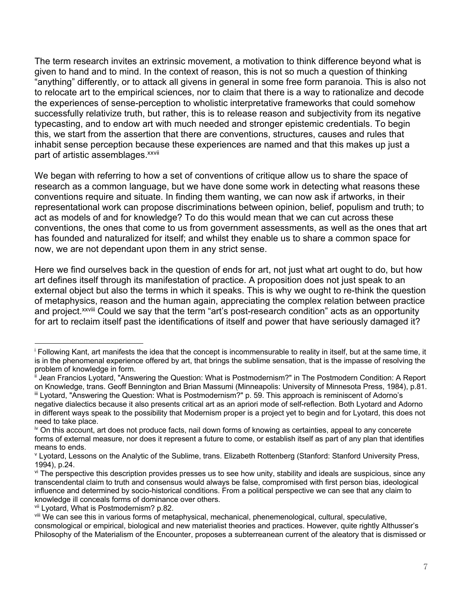The term research invites an extrinsic movement, a motivation to think difference beyond what is given to hand and to mind. In the context of reason, this is not so much a question of thinking "anything" differently, or to attack all givens in general in some free form paranoia. This is also not to relocate art to the empirical sciences, nor to claim that there is a way to rationalize and decode the experiences of sense-perception to wholistic interpretative frameworks that could somehow successfully relativize truth, but rather, this is to release reason and subjectivity from its negative typecasting, and to endow art with much needed and stronger epistemic credentials. To begin this, we start from the assertion that there are conventions, structures, causes and rules that inhabit sense perception because these experiences are named and that this makes up just a part of artistic assemblages.<sup>xxvii</sup>

We began with referring to how a set of conventions of critique allow us to share the space of research as a common language, but we have done some work in detecting what reasons these conventions require and situate. In finding them wanting, we can now ask if artworks, in their representational work can propose discriminations between opinion, belief, populism and truth; to act as models of and for knowledge? To do this would mean that we can cut across these conventions, the ones that come to us from government assessments, as well as the ones that art has founded and naturalized for itself; and whilst they enable us to share a common space for now, we are not dependant upon them in any strict sense.

Here we find ourselves back in the question of ends for art, not just what art ought to do, but how art defines itself through its manifestation of practice. A proposition does not just speak to an external object but also the terms in which it speaks. This is why we ought to re-think the question of metaphysics, reason and the human again, appreciating the complex relation between practice and project.<sup>xxviii</sup> Could we say that the term "art's post-research condition" acts as an opportunity for art to reclaim itself past the identifications of itself and power that have seriously damaged it?

<sup>i</sup> Following Kant, art manifests the idea that the concept is incommensurable to reality in itself, but at the same time, it is in the phenomenal experience offered by art, that brings the sublime sensation, that is the impasse of resolving the problem of knowledge in form.

Jean Francios Lyotard, "Answering the Question: What is Postmodernism?" in The Postmodern Condition: A Report on Knowledge, trans. Geoff Bennington and Brian Massumi (Minneapolis: University of Minnesota Press, 1984), p.81. iii Lyotard, "Answering the Question: What is Postmodernism?" p. 59. This approach is reminiscent of Adorno's negative dialectics because it also presents critical art as an apriori mode of self-reflection. Both Lyotard and Adorno in different ways speak to the possibility that Modernism proper is a project yet to begin and for Lyotard, this does not

need to take place. iv On this account, art does not produce facts, nail down forms of knowing as certainties, appeal to any concerete

forms of external measure, nor does it represent a future to come, or establish itself as part of any plan that identifies means to ends.

<sup>v</sup> Lyotard, Lessons on the Analytic of the Sublime, trans. Elizabeth Rottenberg (Stanford: Stanford University Press, 1994), p.24.

vi The perspective this description provides presses us to see how unity, stability and ideals are suspicious, since any transcendental claim to truth and consensus would always be false, compromised with first person bias, ideological influence and determined by socio-historical conditions. From a political perspective we can see that any claim to knowledge ill conceals forms of dominance over others.

vii Lyotard, What is Postmodernism? p.82.

viii We can see this in various forms of metaphysical, mechanical, phenemenological, cultural, speculative, consmological or empirical, biological and new materialist theories and practices. However, quite rightly Althusser's Philosophy of the Materialism of the Encounter, proposes a subterreanean current of the aleatory that is dismissed or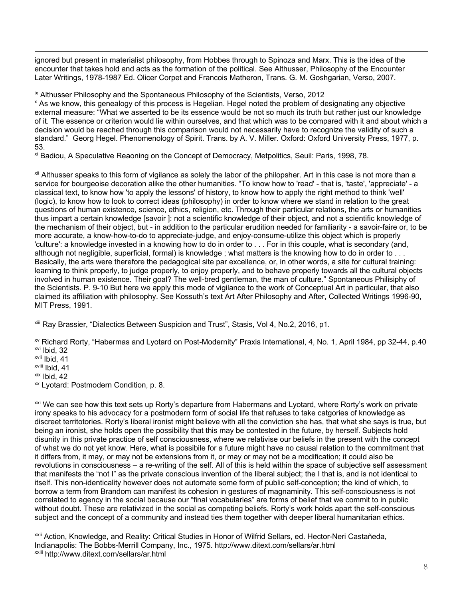ignored but present in materialist philosophy, from Hobbes through to Spinoza and Marx. This is the idea of the encounter that takes hold and acts as the formation of the political. See Althusser, Philosophy of the Encounter Later Writings, 1978-1987 Ed. Olicer Corpet and Francois Matheron, Trans. G. M. Goshgarian, Verso, 2007.

ix Althusser Philosophy and the Spontaneous Philosophy of the Scientists, Verso, 2012

<sup>x</sup> As we know, this genealogy of this process is Hegelian. Hegel noted the problem of designating any objective external measure: "What we asserted to be its essence would be not so much its truth but rather just our knowledge of it. The essence or criterion would lie within ourselves, and that which was to be compared with it and about which a decision would be reached through this comparison would not necessarily have to recognize the validity of such a standard." Georg Hegel. Phenomenology of Spirit. Trans. by A. V. Miller. Oxford: Oxford University Press, 1977, p. 53.

xi Badiou, A Speculative Reaoning on the Concept of Democracy, Metpolitics, Seuil: Paris, 1998, 78.

<sup>xii</sup> Althusser speaks to this form of vigilance as solely the labor of the philopsher. Art in this case is not more than a service for bourgeoise decoration alike the other humanities. "To know how to 'read' - that is, 'taste', 'appreciate' - a classical text, to know how 'to apply the lessons' of history, to know how to apply the right method to think 'well' (logic), to know how to look to correct ideas (philosophy) in order to know where we stand in relation to the great questions of human existence, science, ethics, religion, etc. Through their particular relations, the arts or humanities thus impart a certain knowledge [savoir ]: not a scientific knowledge of their object, and not a scientific knowledge of the mechanism of their object, but - in addition to the particular erudition needed for familiarity - a savoir-faire or, to be more accurate, a know-how-to-do to appreciate-judge, and enjoy-consume-utilize this object which is properly 'culture': a knowledge invested in a knowing how to do in order to . . . For in this couple, what is secondary (and, although not negligible, superficial, formal) is knowledge ; what matters is the knowing how to do in order to . . . Basically, the arts were therefore the pedagogical site par excellence, or, in other words, a site for cultural training: learning to think properly, to judge properly, to enjoy properly, and to behave properly towards all the cultural objects involved in human existence. Their goal? The well-bred gentleman, the man of culture." Spontaneous Philisiphy of the Scientists. P. 9-10 But here we apply this mode of vigilance to the work of Conceptual Art in particular, that also claimed its affiliation with philosophy. See Kossuth's text Art After Philosophy and After, Collected Writings 1996-90, MIT Press, 1991.

xiii Ray Brassier, "Dialectics Between Suspicion and Trust", Stasis, Vol 4, No.2, 2016, p1.

xv Richard Rorty, "Habermas and Lyotard on Post-Modernity" Praxis International, 4, No. 1, April 1984, pp 32-44, p.40 xvi Ibid, 32

xvii Ibid, 41

xviii Ibid, 41

xix Ibid, 42

xx Lyotard: Postmodern Condition, p. 8.

<sup>xxi</sup> We can see how this text sets up Rorty's departure from Habermans and Lyotard, where Rorty's work on private irony speaks to his advocacy for a postmodern form of social life that refuses to take catgories of knowledge as discreet territotories. Rorty's liberal ironist might believe with all the conviction she has, that what she says is true, but being an ironist, she holds open the possibility that this may be contested in the future, by herself. Subjects hold disunity in this private practice of self consciousness, where we relativise our beliefs in the present with the concept of what we do not yet know. Here, what is possibile for a future might have no causal relation to the commitment that it differs from, it may, or may not be extensions from it, or may or may not be a modification; it could also be revolutions in consciousness – a re-writing of the self. All of this is held within the space of subjective self assessment that manifests the "not I" as the private conscious invention of the liberal subject; the I that is, and is not identical to itself. This non-identicality however does not automate some form of public self-conception; the kind of which, to borrow a term from Brandom can manifest its cohesion in gestures of magnaminity. This self-consciousness is not correlated to agency in the social because our "final vocabularies" are forms of belief that we commit to in public without doubt. These are relativized in the social as competing beliefs. Rorty's work holds apart the self-conscious subject and the concept of a community and instead ties them together with deeper liberal humanitarian ethics.

xxii Action, Knowledge, and Reality: Critical Studies in Honor of Wilfrid Sellars, ed. Hector-Neri Castañeda, Indianapolis: The Bobbs-Merrill Company, Inc., 1975. http://www.ditext.com/sellars/ar.html xxiii http://www.ditext.com/sellars/ar.html